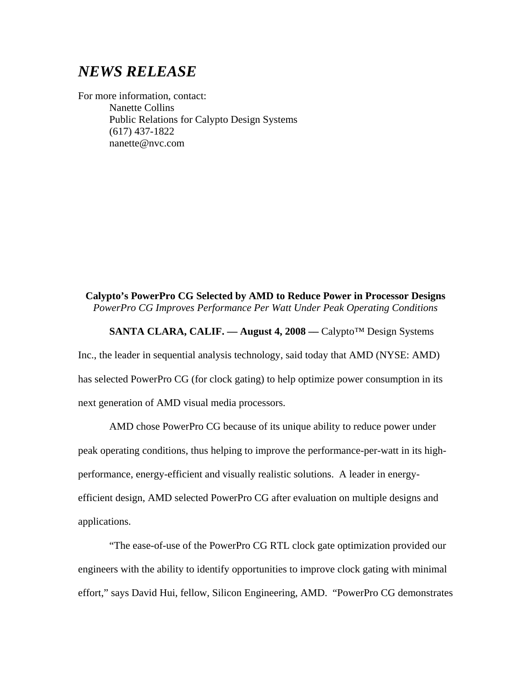## *NEWS RELEASE*

For more information, contact: Nanette Collins Public Relations for Calypto Design Systems (617) 437-1822 nanette@nvc.com

## **Calypto's PowerPro CG Selected by AMD to Reduce Power in Processor Designs** *PowerPro CG Improves Performance Per Watt Under Peak Operating Conditions*

## **SANTA CLARA, CALIF. –– August 4, 2008 ––** Calypto™ Design Systems

Inc., the leader in sequential analysis technology, said today that AMD (NYSE: AMD) has selected PowerPro CG (for clock gating) to help optimize power consumption in its next generation of AMD visual media processors.

AMD chose PowerPro CG because of its unique ability to reduce power under peak operating conditions, thus helping to improve the performance-per-watt in its highperformance, energy-efficient and visually realistic solutions. A leader in energyefficient design, AMD selected PowerPro CG after evaluation on multiple designs and applications.

"The ease-of-use of the PowerPro CG RTL clock gate optimization provided our engineers with the ability to identify opportunities to improve clock gating with minimal effort," says David Hui, fellow, Silicon Engineering, AMD. "PowerPro CG demonstrates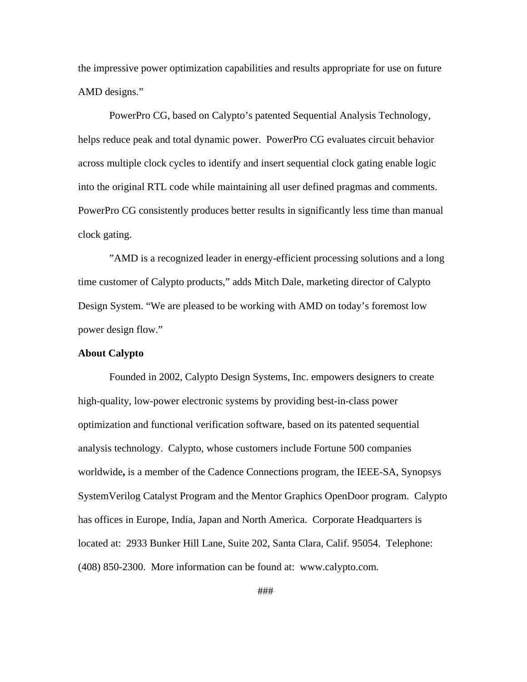the impressive power optimization capabilities and results appropriate for use on future AMD designs."

PowerPro CG, based on Calypto's patented Sequential Analysis Technology, helps reduce peak and total dynamic power. PowerPro CG evaluates circuit behavior across multiple clock cycles to identify and insert sequential clock gating enable logic into the original RTL code while maintaining all user defined pragmas and comments. PowerPro CG consistently produces better results in significantly less time than manual clock gating.

"AMD is a recognized leader in energy-efficient processing solutions and a long time customer of Calypto products," adds Mitch Dale, marketing director of Calypto Design System. "We are pleased to be working with AMD on today's foremost low power design flow."

## **About Calypto**

Founded in 2002, Calypto Design Systems, Inc. empowers designers to create high-quality, low-power electronic systems by providing best-in-class power optimization and functional verification software, based on its patented sequential analysis technology. Calypto, whose customers include Fortune 500 companies worldwide**,** is a member of the Cadence Connections program, the IEEE-SA, Synopsys SystemVerilog Catalyst Program and the Mentor Graphics OpenDoor program. Calypto has offices in Europe, India, Japan and North America. Corporate Headquarters is located at: 2933 Bunker Hill Lane, Suite 202, Santa Clara, Calif. 95054. Telephone: (408) 850-2300. More information can be found at: [www.calypto.com](http://www.calypto.com/).